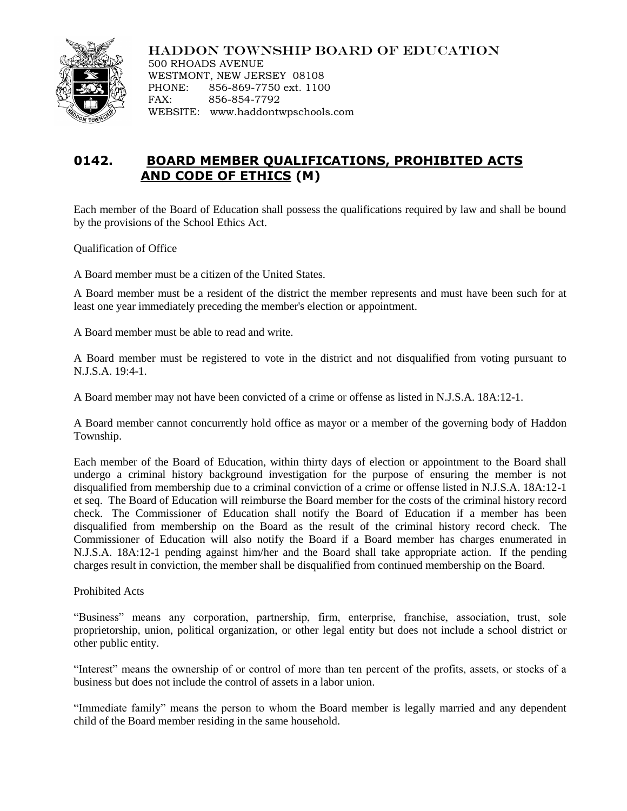

HADDON TOWNSHIP BOARD OF EDUCATION

500 RHOADS AVENUE WESTMONT, NEW JERSEY 08108 PHONE: 856-869-7750 ext. 1100 FAX: 856-854-7792 WEBSITE: www.haddontwpschools.com

## **0142. BOARD MEMBER QUALIFICATIONS, PROHIBITED ACTS AND CODE OF ETHICS (M)**

Each member of the Board of Education shall possess the qualifications required by law and shall be bound by the provisions of the School Ethics Act.

Qualification of Office

A Board member must be a citizen of the United States.

A Board member must be a resident of the district the member represents and must have been such for at least one year immediately preceding the member's election or appointment.

A Board member must be able to read and write.

A Board member must be registered to vote in the district and not disqualified from voting pursuant to N.J.S.A. 19:4-1.

A Board member may not have been convicted of a crime or offense as listed in N.J.S.A. 18A:12-1.

A Board member cannot concurrently hold office as mayor or a member of the governing body of Haddon Township.

Each member of the Board of Education, within thirty days of election or appointment to the Board shall undergo a criminal history background investigation for the purpose of ensuring the member is not disqualified from membership due to a criminal conviction of a crime or offense listed in N.J.S.A. 18A:12-1 et seq. The Board of Education will reimburse the Board member for the costs of the criminal history record check. The Commissioner of Education shall notify the Board of Education if a member has been disqualified from membership on the Board as the result of the criminal history record check. The Commissioner of Education will also notify the Board if a Board member has charges enumerated in N.J.S.A. 18A:12-1 pending against him/her and the Board shall take appropriate action. If the pending charges result in conviction, the member shall be disqualified from continued membership on the Board.

Prohibited Acts

"Business" means any corporation, partnership, firm, enterprise, franchise, association, trust, sole proprietorship, union, political organization, or other legal entity but does not include a school district or other public entity.

"Interest" means the ownership of or control of more than ten percent of the profits, assets, or stocks of a business but does not include the control of assets in a labor union.

"Immediate family" means the person to whom the Board member is legally married and any dependent child of the Board member residing in the same household.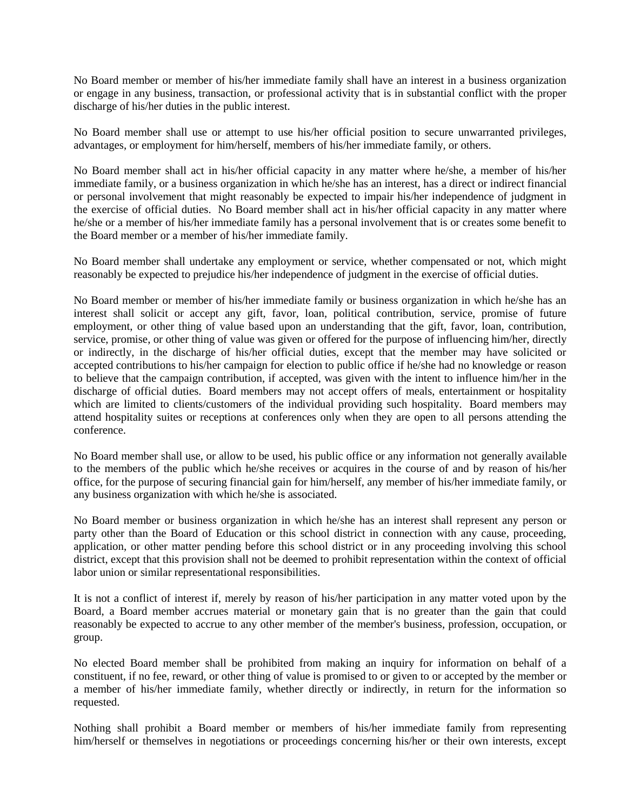No Board member or member of his/her immediate family shall have an interest in a business organization or engage in any business, transaction, or professional activity that is in substantial conflict with the proper discharge of his/her duties in the public interest.

No Board member shall use or attempt to use his/her official position to secure unwarranted privileges, advantages, or employment for him/herself, members of his/her immediate family, or others.

No Board member shall act in his/her official capacity in any matter where he/she, a member of his/her immediate family, or a business organization in which he/she has an interest, has a direct or indirect financial or personal involvement that might reasonably be expected to impair his/her independence of judgment in the exercise of official duties. No Board member shall act in his/her official capacity in any matter where he/she or a member of his/her immediate family has a personal involvement that is or creates some benefit to the Board member or a member of his/her immediate family.

No Board member shall undertake any employment or service, whether compensated or not, which might reasonably be expected to prejudice his/her independence of judgment in the exercise of official duties.

No Board member or member of his/her immediate family or business organization in which he/she has an interest shall solicit or accept any gift, favor, loan, political contribution, service, promise of future employment, or other thing of value based upon an understanding that the gift, favor, loan, contribution, service, promise, or other thing of value was given or offered for the purpose of influencing him/her, directly or indirectly, in the discharge of his/her official duties, except that the member may have solicited or accepted contributions to his/her campaign for election to public office if he/she had no knowledge or reason to believe that the campaign contribution, if accepted, was given with the intent to influence him/her in the discharge of official duties. Board members may not accept offers of meals, entertainment or hospitality which are limited to clients/customers of the individual providing such hospitality. Board members may attend hospitality suites or receptions at conferences only when they are open to all persons attending the conference.

No Board member shall use, or allow to be used, his public office or any information not generally available to the members of the public which he/she receives or acquires in the course of and by reason of his/her office, for the purpose of securing financial gain for him/herself, any member of his/her immediate family, or any business organization with which he/she is associated.

No Board member or business organization in which he/she has an interest shall represent any person or party other than the Board of Education or this school district in connection with any cause, proceeding, application, or other matter pending before this school district or in any proceeding involving this school district, except that this provision shall not be deemed to prohibit representation within the context of official labor union or similar representational responsibilities.

It is not a conflict of interest if, merely by reason of his/her participation in any matter voted upon by the Board, a Board member accrues material or monetary gain that is no greater than the gain that could reasonably be expected to accrue to any other member of the member's business, profession, occupation, or group.

No elected Board member shall be prohibited from making an inquiry for information on behalf of a constituent, if no fee, reward, or other thing of value is promised to or given to or accepted by the member or a member of his/her immediate family, whether directly or indirectly, in return for the information so requested.

Nothing shall prohibit a Board member or members of his/her immediate family from representing him/herself or themselves in negotiations or proceedings concerning his/her or their own interests, except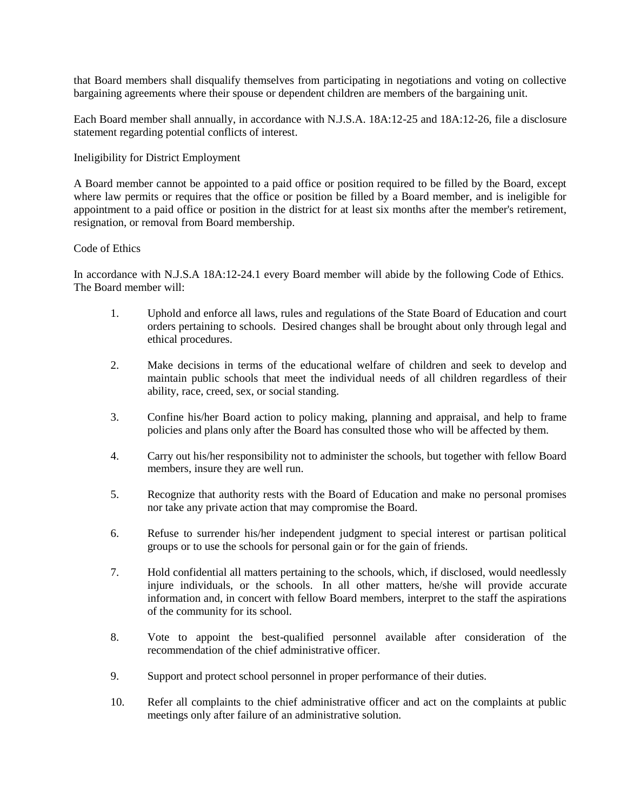that Board members shall disqualify themselves from participating in negotiations and voting on collective bargaining agreements where their spouse or dependent children are members of the bargaining unit.

Each Board member shall annually, in accordance with N.J.S.A. 18A:12-25 and 18A:12-26, file a disclosure statement regarding potential conflicts of interest.

Ineligibility for District Employment

A Board member cannot be appointed to a paid office or position required to be filled by the Board, except where law permits or requires that the office or position be filled by a Board member, and is ineligible for appointment to a paid office or position in the district for at least six months after the member's retirement, resignation, or removal from Board membership.

## Code of Ethics

In accordance with N.J.S.A 18A:12-24.1 every Board member will abide by the following Code of Ethics. The Board member will:

- 1. Uphold and enforce all laws, rules and regulations of the State Board of Education and court orders pertaining to schools. Desired changes shall be brought about only through legal and ethical procedures.
- 2. Make decisions in terms of the educational welfare of children and seek to develop and maintain public schools that meet the individual needs of all children regardless of their ability, race, creed, sex, or social standing.
- 3. Confine his/her Board action to policy making, planning and appraisal, and help to frame policies and plans only after the Board has consulted those who will be affected by them.
- 4. Carry out his/her responsibility not to administer the schools, but together with fellow Board members, insure they are well run.
- 5. Recognize that authority rests with the Board of Education and make no personal promises nor take any private action that may compromise the Board.
- 6. Refuse to surrender his/her independent judgment to special interest or partisan political groups or to use the schools for personal gain or for the gain of friends.
- 7. Hold confidential all matters pertaining to the schools, which, if disclosed, would needlessly injure individuals, or the schools. In all other matters, he/she will provide accurate information and, in concert with fellow Board members, interpret to the staff the aspirations of the community for its school.
- 8. Vote to appoint the best-qualified personnel available after consideration of the recommendation of the chief administrative officer.
- 9. Support and protect school personnel in proper performance of their duties.
- 10. Refer all complaints to the chief administrative officer and act on the complaints at public meetings only after failure of an administrative solution.